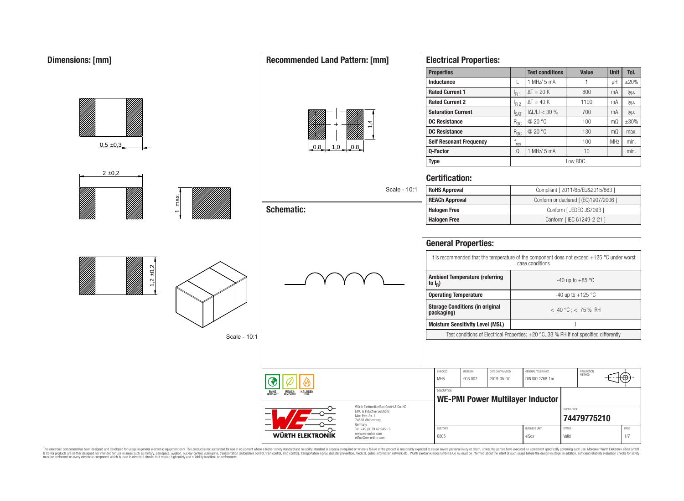# **Dimensions: [mm]**

# max.  $1,2 \pm 0,2$  $0,5 \pm 0,3$  $2 \pm 0.2$ Scale **Schematic:**

# **Recommended Land Pattern: [mm]**



|                                                                                                          | <b>Certification:</b>      |                                                      |                                 |                                                                                        |                                       |                                                                                             |  |  |
|----------------------------------------------------------------------------------------------------------|----------------------------|------------------------------------------------------|---------------------------------|----------------------------------------------------------------------------------------|---------------------------------------|---------------------------------------------------------------------------------------------|--|--|
| Scale - 10:1                                                                                             | <b>RoHS Approval</b>       |                                                      |                                 |                                                                                        | Compliant [ 2011/65/EU&2015/863 ]     |                                                                                             |  |  |
|                                                                                                          | <b>REACh Approval</b>      |                                                      |                                 |                                                                                        | Conform or declared [ (EC)1907/2006 ] |                                                                                             |  |  |
| <b>Schematic:</b>                                                                                        | <b>Halogen Free</b>        |                                                      |                                 |                                                                                        | Conform [ JEDEC JS709B ]              |                                                                                             |  |  |
|                                                                                                          | <b>Halogen Free</b>        |                                                      |                                 |                                                                                        | Conform [ IEC 61249-2-21 ]            |                                                                                             |  |  |
|                                                                                                          | <b>General Properties:</b> |                                                      |                                 |                                                                                        |                                       |                                                                                             |  |  |
|                                                                                                          |                            |                                                      |                                 | case conditions                                                                        |                                       | It is recommended that the temperature of the component does not exceed +125 °C under worst |  |  |
|                                                                                                          | to $I_R$ )                 | <b>Ambient Temperature (referring</b>                |                                 |                                                                                        | -40 up to $+85$ °C                    |                                                                                             |  |  |
|                                                                                                          |                            | <b>Operating Temperature</b>                         |                                 |                                                                                        | -40 up to $+125$ °C                   |                                                                                             |  |  |
|                                                                                                          |                            | <b>Storage Conditions (in original</b><br>packaging) |                                 |                                                                                        | $< 40 °C$ ; < 75 % RH                 |                                                                                             |  |  |
|                                                                                                          |                            | <b>Moisture Sensitivity Level (MSL)</b>              |                                 |                                                                                        | $\mathbf{1}$                          |                                                                                             |  |  |
|                                                                                                          |                            |                                                      |                                 | Test conditions of Electrical Properties: +20 °C, 33 % RH if not specified differently |                                       |                                                                                             |  |  |
|                                                                                                          | CHECKED<br><b>MHB</b>      | <b>REVISION</b><br>003.007                           | DATE (YYYY-MM-DD)<br>2019-05-07 | GENERAL TOLERANCE<br>DIN ISO 2768-1m                                                   | PROJECTION<br>METHOD                  |                                                                                             |  |  |
| <b>ROHS</b><br>COMPLIANT<br><b>REACH</b><br>COMPLIANT<br><b>HALOGEN</b>                                  | <b>DESCRIPTION</b>         |                                                      |                                 |                                                                                        |                                       |                                                                                             |  |  |
| Würth Elektronik eiSos GmbH & Co. KG<br>EMC & Inductive Solutions<br>Max-Eyth-Str. 1<br>74638 Waldenburg |                            |                                                      |                                 | <b>WE-PMI Power Multilayer Inductor</b>                                                | ORDER CODE<br>74479775210             |                                                                                             |  |  |
| Germany<br>Tel. +49 (0) 79 42 945 - 0                                                                    | SIZE/TYPE                  |                                                      |                                 | <b>BLISINESS LINIT</b>                                                                 | <b>STATUS</b>                         | PAGE                                                                                        |  |  |
| <b>WÜRTH ELEKTRONIK</b><br>www.we-online.com<br>eiSos@we-online.com                                      | 0805                       |                                                      |                                 | eiSos                                                                                  | Valid                                 | 1/7                                                                                         |  |  |

**Properties Test conditions Value Unit Tol. Inductance L L** 1 MHz/ 5 mA **1 1 H H**  $\pm$ 20%

**DC Resistance** R<sub>DC</sub> @ 20 °C 100 mΩ ±30% **DC Resistance** R<sub>DC</sub> @ 20 °C 130 mΩ max.

**Q-Factor Q** 1 MHz/ 5 mA 10 10 min.

**Type** Low RDC

 $\Delta T = 20 \text{ K}$  800 mA typ.

 $\Delta T = 40 \text{ K}$  1100 | mA typ.

 $|\Delta L/L| < 30\%$  700 mA typ.

 $r_{res}$  100 MHz min.

**Rated Current 1** I<sub>R 1</sub>

**Electrical Properties:**

**Rated Current 2** I<sub>R 2</sub>

**Saturation Current**  $\left| \right|_{\text{SAT}}$ 

**Self Resonant Frequency f**<sub>res</sub>

This electronic component has been designed and developed for usage in general electronic equipment only. This product is not authorized for subserved requipment where a higher selection equipment where a higher selection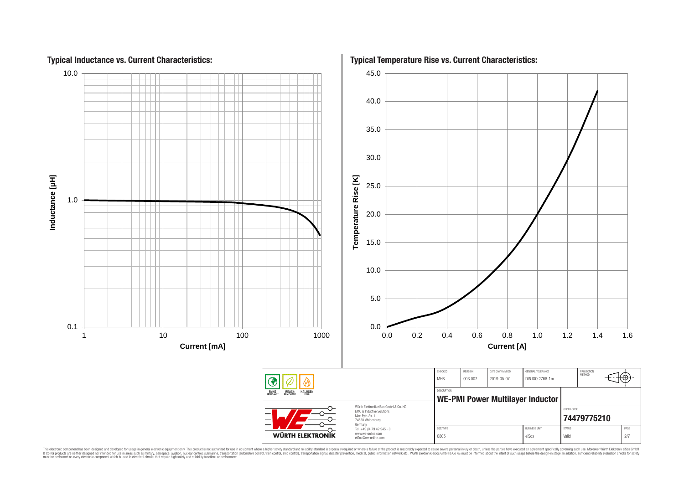

This electronic component has been designed and developed for usage in general electronic equipment only. This product is not authorized for subserved requipment where a higher selection equipment where a higher selection

# **Typical Inductance vs. Current Characteristics:**

**Typical Temperature Rise vs. Current Characteristics:**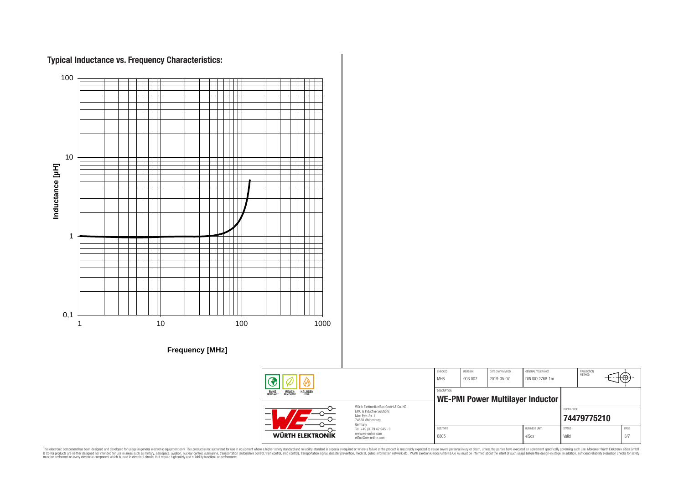

This electronic component has been designed and developed for usage in general electronic equipment only. This product is not authorized for subserved requipment where a higher selection equipment where a higher selection

## **Typical Inductance vs. Frequency Characteristics:**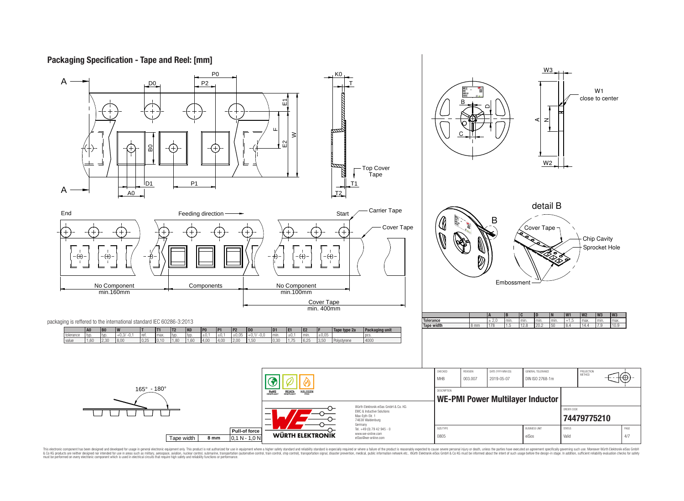## **Packaging Specification - Tape and Reel: [mm]**



This electronic component has been designed and developed for usage in general electronic equipment only. This product is not authorized for use in equipment where a higher safely standard and reliability standard si espec & Ook product a label and the membed of the seasuch as marked and as which such a membed and the such assume that income in the seasuch and the simulation and the such assume that include to the such a membed and the such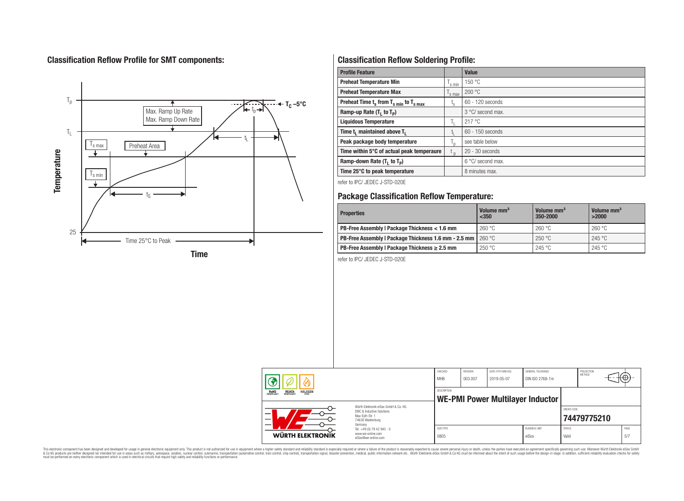# **Classification Reflow Profile for SMT components:**



# **Classification Reflow Soldering Profile:**

| <b>Profile Feature</b>                              |                    | <b>Value</b>      |
|-----------------------------------------------------|--------------------|-------------------|
| <b>Preheat Temperature Min</b>                      | $\mathsf{I}$ s min | 150 °C            |
| <b>Preheat Temperature Max</b>                      | s max              | 200 °C            |
| Preheat Time $t_s$ from $T_{s,min}$ to $T_{s,max}$  | ι <sub>s</sub>     | 60 - 120 seconds  |
| Ramp-up Rate $(T_1$ to $T_p$ )                      |                    | 3 °C/ second max. |
| <b>Liquidous Temperature</b>                        | h.                 | 217 °C            |
| Time t <sub>1</sub> maintained above T <sub>1</sub> | Ţ.                 | 60 - 150 seconds  |
| Peak package body temperature                       | ı,                 | see table below   |
| Time within 5°C of actual peak temperaure           | $t_{p}$            | $20 - 30$ seconds |
| Ramp-down Rate $(T_1$ to $T_p)$                     |                    | 6 °C/ second max. |
| Time 25°C to peak temperature                       |                    | 8 minutes max.    |

refer to IPC/ JEDEC J-STD-020E

# **Package Classification Reflow Temperature:**

| <b>Properties</b>                                                    | Volume mm <sup>3</sup><br>$<$ 350 | Volume mm <sup>3</sup><br>350-2000 | Volume mm <sup>3</sup><br>>2000 |
|----------------------------------------------------------------------|-----------------------------------|------------------------------------|---------------------------------|
| PB-Free Assembly   Package Thickness < 1.6 mm                        | 260 °C                            | 260 °C                             | 260 °C                          |
| <b>PB-Free Assembly   Package Thickness 1.6 mm - 2.5 mm   260 °C</b> |                                   | 250 °C                             | 245 °C                          |
| PB-Free Assembly   Package Thickness $\geq 2.5$ mm                   | 250 °C                            | 245 °C                             | 245 °C                          |

refer to IPC/ JEDEC J-STD-020E



This electronic component has been designed and developed for usage in general electronic equipment only. This product is not authorized for subserved requipment where a higher selection equipment where a higher selection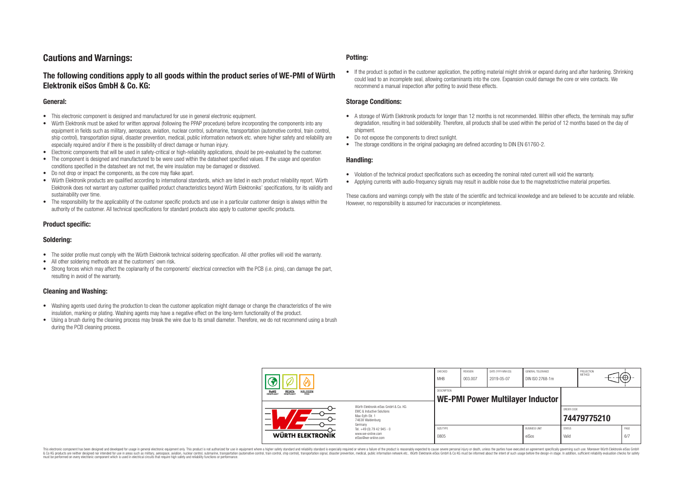# **Cautions and Warnings:**

## **The following conditions apply to all goods within the product series of WE-PMI of Würth Elektronik eiSos GmbH & Co. KG:**

#### **General:**

- This electronic component is designed and manufactured for use in general electronic equipment.
- Würth Elektronik must be asked for written approval (following the PPAP procedure) before incorporating the components into any equipment in fields such as military, aerospace, aviation, nuclear control, submarine, transportation (automotive control, train control, ship control), transportation signal, disaster prevention, medical, public information network etc. where higher safety and reliability are especially required and/or if there is the possibility of direct damage or human injury.
- Electronic components that will be used in safety-critical or high-reliability applications, should be pre-evaluated by the customer.
- The component is designed and manufactured to be were used within the datasheet specified values. If the usage and operation conditions specified in the datasheet are not met, the wire insulation may be damaged or dissolved.
- Do not drop or impact the components, as the core may flake apart.
- Würth Elektronik products are qualified according to international standards, which are listed in each product reliability report. Würth Elektronik does not warrant any customer qualified product characteristics beyond Würth Elektroniks' specifications, for its validity and sustainability over time.
- The responsibility for the applicability of the customer specific products and use in a particular customer design is always within the authority of the customer. All technical specifications for standard products also apply to customer specific products.

## **Product specific:**

## **Soldering:**

- The solder profile must comply with the Würth Elektronik technical soldering specification. All other profiles will void the warranty.
- All other soldering methods are at the customers' own risk.
- Strong forces which may affect the coplanarity of the components' electrical connection with the PCB (i.e. pins), can damage the part, resulting in avoid of the warranty.

#### **Cleaning and Washing:**

- Washing agents used during the production to clean the customer application might damage or change the characteristics of the wire insulation, marking or plating. Washing agents may have a negative effect on the long-term functionality of the product.
- Using a brush during the cleaning process may break the wire due to its small diameter. Therefore, we do not recommend using a brush during the PCB cleaning process.

#### **Potting:**

• If the product is potted in the customer application, the potting material might shrink or expand during and after hardening. Shrinking could lead to an incomplete seal, allowing contaminants into the core. Expansion could damage the core or wire contacts. We recommend a manual inspection after potting to avoid these effects.

#### **Storage Conditions:**

- A storage of Würth Elektronik products for longer than 12 months is not recommended. Within other effects, the terminals may suffer degradation, resulting in bad solderability. Therefore, all products shall be used within the period of 12 months based on the day of shipment.
- Do not expose the components to direct sunlight.
- The storage conditions in the original packaging are defined according to DIN EN 61760-2.

#### **Handling:**

- Violation of the technical product specifications such as exceeding the nominal rated current will void the warranty.
- Applying currents with audio-frequency signals may result in audible noise due to the magnetostrictive material properties.

These cautions and warnings comply with the state of the scientific and technical knowledge and are believed to be accurate and reliable. However, no responsibility is assumed for inaccuracies or incompleteness.

| <b>REACH</b><br>COMPLIANT<br><b>HALOGEN</b><br>ROHS<br>COMPLIANT                                                         |                                                                        | CHECKED<br><b>MHB</b> | <b>REVISION</b><br>003.007 | DATE (YYYY-MM-DD)<br>2019-05-07  | GENERAL TOLERANCE<br>DIN ISO 2768-1m |                        | PROJECTION<br><b>METHOD</b> | ι€Ψ         |
|--------------------------------------------------------------------------------------------------------------------------|------------------------------------------------------------------------|-----------------------|----------------------------|----------------------------------|--------------------------------------|------------------------|-----------------------------|-------------|
|                                                                                                                          |                                                                        | <b>DESCRIPTION</b>    |                            | WE-PMI Power Multilayer Inductor |                                      |                        |                             |             |
| Würth Elektronik eiSos GmbH & Co. KG<br>EMC & Inductive Solutions<br>–<br>Max-Evth-Str. 1<br>74638 Waldenburg<br>Germany |                                                                        |                       |                            |                                  |                                      | ORDER CODE             | 74479775210                 |             |
| <b>WÜRTH ELEKTRONĪK</b>                                                                                                  | Tel. +49 (0) 79 42 945 - 0<br>www.we-online.com<br>eiSos@we-online.com | SIZE/TYPE<br>0805     |                            |                                  | <b>BUSINESS UNIT</b><br>eiSos        | <b>STATUS</b><br>Valid |                             | PAGE<br>6/7 |

This electronic component has been designed and developed for usage in general electronic equipment only. This product is not authorized for use in equipment where a higher safety standard and reliability standard si espec & Ook product a label and the membed of the seasuch as marked and as which such a membed and the such assume that income in the seasuch and the simulation and the such assume that include to the such a membed and the such